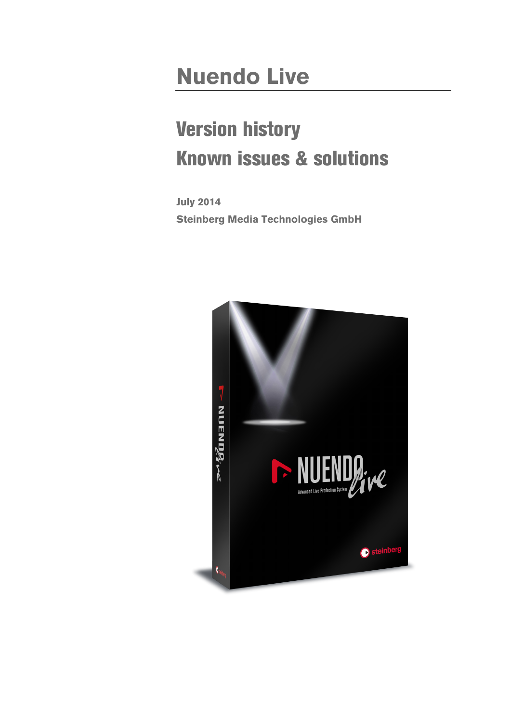## **Nuendo Live**

# Version history Known issues & solutions

**July 2014 Steinberg Media Technologies GmbH**

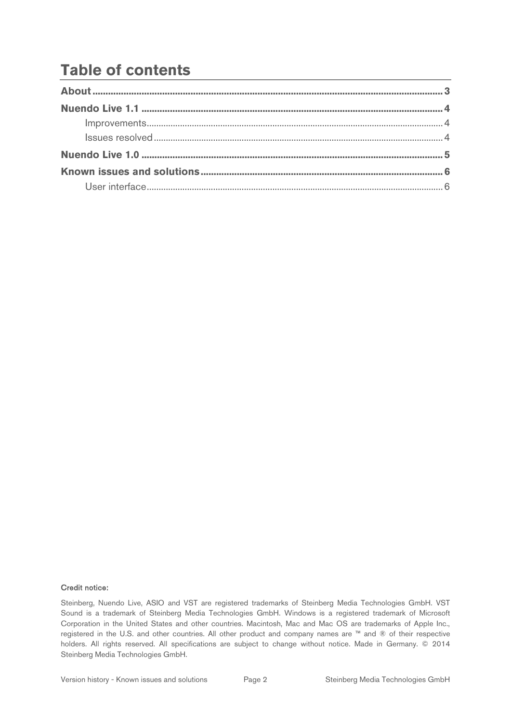### **Table of contents**

#### Credit notice:

Steinberg, Nuendo Live, ASIO and VST are registered trademarks of Steinberg Media Technologies GmbH. VST Sound is a trademark of Steinberg Media Technologies GmbH. Windows is a registered trademark of Microsoft Corporation in the United States and other countries. Macintosh, Mac and Mac OS are trademarks of Apple Inc., registered in the U.S. and other countries. All other product and company names are ™ and ® of their respective holders. All rights reserved. All specifications are subject to change without notice. Made in Germany. © 2014 Steinberg Media Technologies GmbH.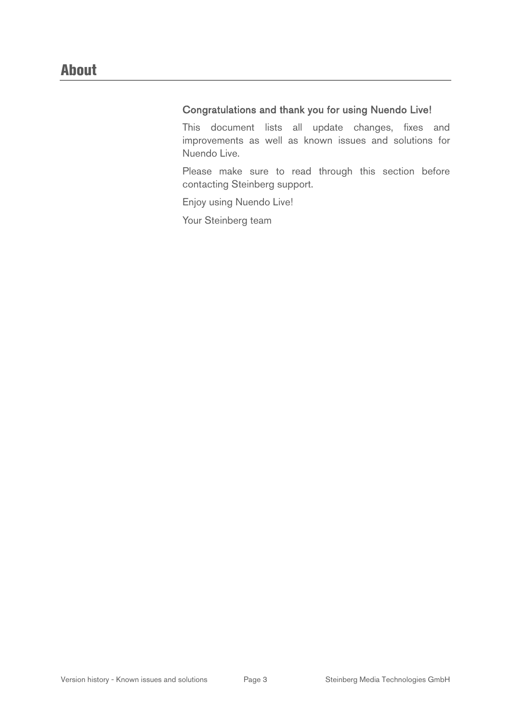#### Congratulations and thank you for using Nuendo Live!

This document lists all update changes, fixes and improvements as well as known issues and solutions for Nuendo Live.

Please make sure to read through this section before contacting Steinberg support.

Enjoy using Nuendo Live!

Your Steinberg team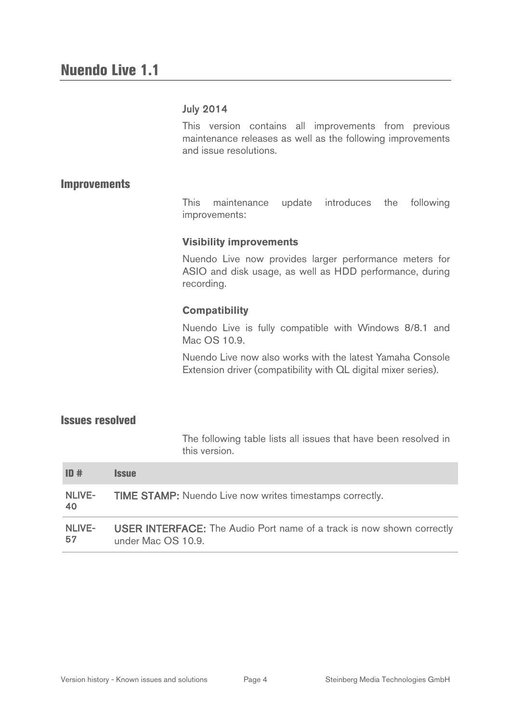#### July 2014

This version contains all improvements from previous maintenance releases as well as the following improvements and issue resolutions.

#### **Improvements**

This maintenance update introduces the following improvements:

#### **Visibility improvements**

Nuendo Live now provides larger performance meters for ASIO and disk usage, as well as HDD performance, during recording.

#### **Compatibility**

Nuendo Live is fully compatible with Windows 8/8.1 and Mac OS 10.9.

Nuendo Live now also works with the latest Yamaha Console Extension driver (compatibility with QL digital mixer series).

#### Issues resolved

The following table lists all issues that have been resolved in this version.

| ID#                  | <i><b>Issue</b></i>                                                                                |
|----------------------|----------------------------------------------------------------------------------------------------|
| <b>NLIVE-</b><br>-40 | <b>TIME STAMP:</b> Nuendo Live now writes timestamps correctly.                                    |
| NLIVE-<br>-57        | <b>USER INTERFACE:</b> The Audio Port name of a track is now shown correctly<br>under Mac OS 10.9. |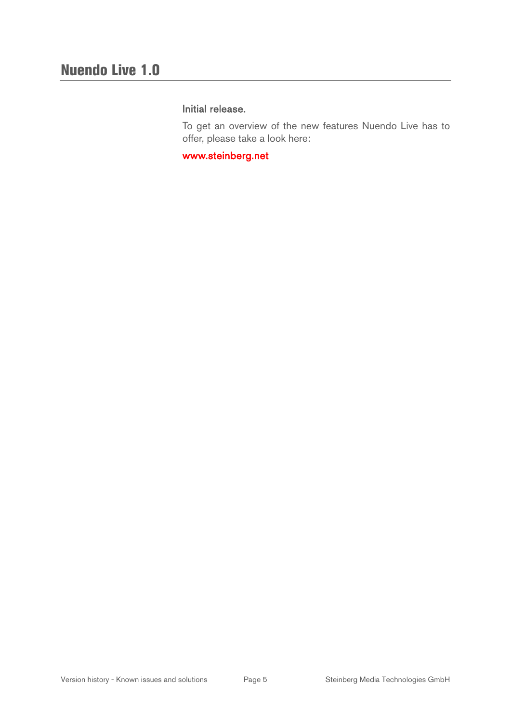#### Initial release.

To get an overview of the new features Nuendo Live has to offer, please take a look here:

[www.steinberg.net](http://www.steinberg.net/)